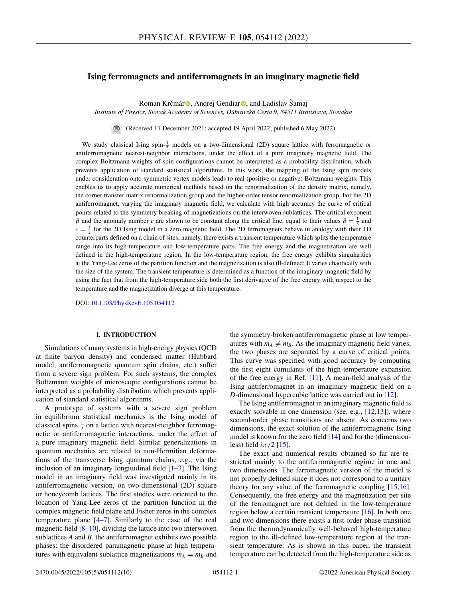# **Ising ferromagnets and antiferromagnets in an imaginary magnetic field**

Roman K[r](https://orcid.org/0000-0001-9212-6580)čmár <sup>®</sup>, Andrej Gendiar <sup>®</sup>, and Ladislav Šamaj

*Institute of Physics, Slovak Academy of Sciences, Dúbravská Cesta 9, 84511 Bratislava, Slovakia*

(Received 17 December 2021; accepted 19 April 2022; published 6 May 2022)

We study classical Ising spin- $\frac{1}{2}$  models on a two-dimensional (2D) square lattice with ferromagnetic or antiferromagnetic nearest-neighbor interactions, under the effect of a pure imaginary magnetic field. The complex Boltzmann weights of spin configurations cannot be interpreted as a probability distribution, which prevents application of standard statistical algorithms. In this work, the mapping of the Ising spin models under consideration onto symmetric vertex models leads to real (positive or negative) Boltzmann weights. This enables us to apply accurate numerical methods based on the renormalization of the density matrix, namely, the corner transfer matrix renormalization group and the higher-order tensor renormalization group. For the 2D antiferromagnet, varying the imaginary magnetic field, we calculate with high accuracy the curve of critical points related to the symmetry breaking of magnetizations on the interwoven sublattices. The critical exponent β and the anomaly number *c* are shown to be constant along the critical line, equal to their values  $β = \frac{1}{8}$  and  $c = \frac{1}{2}$  for the 2D Ising model in a zero magnetic field. The 2D ferromagnets behave in analogy with their 1D counterparts defined on a chain of sites, namely, there exists a transient temperature which splits the temperature range into its high-temperature and low-temperature parts. The free energy and the magnetization are well defined in the high-temperature region. In the low-temperature region, the free energy exhibits singularities at the Yang-Lee zeros of the partition function and the magnetization is also ill-defined: It varies chaotically with the size of the system. The transient temperature is determined as a function of the imaginary magnetic field by using the fact that from the high-temperature side both the first derivative of the free energy with respect to the temperature and the magnetization diverge at this temperature.

DOI: [10.1103/PhysRevE.105.054112](https://doi.org/10.1103/PhysRevE.105.054112)

# **I. INTRODUCTION**

Simulations of many systems in high-energy physics (QCD at finite baryon density) and condensed matter (Hubbard model, antiferromagnetic quantum spin chains, etc.) suffer from a severe sign problem. For such systems, the complex Boltzmann weights of microscopic configurations cannot be interpreted as a probability distribution which prevents application of standard statistical algorithms.

A prototype of systems with a severe sign problem in equilibrium statistical mechanics is the Ising model of classical spins  $\frac{1}{2}$  on a lattice with nearest-neighbor ferromagnetic or antiferromagnetic interactions, under the effect of a pure imaginary magnetic field. Similar generalizations in quantum mechanics are related to non-Hermitian deformations of the transverse Ising quantum chains, e.g., via the inclusion of an imaginary longitudinal field  $[1-3]$ . The Ising model in an imaginary field was investigated mainly in its antiferromagnetic version, on two-dimensional (2D) square or honeycomb lattices. The first studies were oriented to the location of Yang-Lee zeros of the partition function in the complex magnetic field plane and Fisher zeros in the complex temperature plane [\[4–7\]](#page-8-0). Similarly to the case of the real magnetic field  $[8-10]$ , dividing the lattice into two interwoven sublattices *A* and *B*, the antiferromagnet exhibits two possible phases: the disordered paramagnetic phase at high temperatures with equivalent sublattice magnetizations  $m_A = m_B$  and

the symmetry-broken antiferromagnetic phase at low temperatures with  $m_A \neq m_B$ . As the imaginary magnetic field varies, the two phases are separated by a curve of critical points. This curve was specified with good accuracy by computing the first eight cumulants of the high-temperature expansion of the free energy in Ref. [\[11\]](#page-8-0). A mean-field analysis of the Ising antiferromagnet in an imaginary magnetic field on a *D*-dimensional hypercubic lattice was carried out in [\[12\]](#page-9-0).

The Ising antiferromagnet in an imaginary magnetic field is exactly solvable in one dimension (see, e.g., [\[12,13\]](#page-9-0)), where second-order phase transitions are absent. As concerns two dimensions, the exact solution of the antiferromagnetic Ising model is known for the zero field  $[14]$  and for the (dimensionless) field  $i\pi/2$  [\[15\]](#page-9-0).

The exact and numerical results obtained so far are restricted mainly to the antiferromagnetic regime in one and two dimensions. The ferromagnetic version of the model is not properly defined since it does not correspond to a unitary theory for any value of the ferromagnetic coupling [\[15,16\]](#page-9-0). Consequently, the free energy and the magnetization per site of the ferromagnet are not defined in the low-temperature region below a certain transient temperature [\[16\]](#page-9-0). In both one and two dimensions there exists a first-order phase transition from the thermodynamically well-behaved high-temperature region to the ill-defined low-temperature region at the transient temperature. As is shown in this paper, the transient temperature can be detected from the high-temperature side as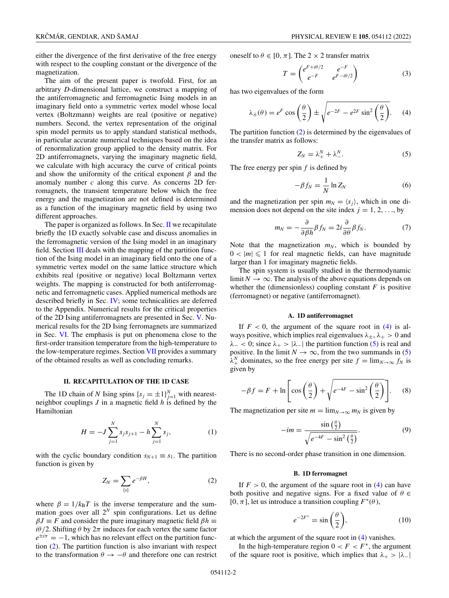<span id="page-1-0"></span>either the divergence of the first derivative of the free energy with respect to the coupling constant or the divergence of the magnetization.

The aim of the present paper is twofold. First, for an arbitrary *D*-dimensional lattice, we construct a mapping of the antiferromagnetic and ferromagnetic Ising models in an imaginary field onto a symmetric vertex model whose local vertex (Boltzmann) weights are real (positive or negative) numbers. Second, the vertex representation of the original spin model permits us to apply standard statistical methods, in particular accurate numerical techniques based on the idea of renormalization group applied to the density matrix. For 2D antiferromagnets, varying the imaginary magnetic field, we calculate with high accuracy the curve of critical points and show the uniformity of the critical exponent  $\beta$  and the anomaly number *c* along this curve. As concerns 2D ferromagnets, the transient temperature below which the free energy and the magnetization are not defined is determined as a function of the imaginary magnetic field by using two different approaches.

The paper is organized as follows. In Sec.  $\Pi$  we recapitulate briefly the 1D exactly solvable case and discuss anomalies in the ferromagnetic version of the Ising model in an imaginary field. Section  $III$  deals with the mapping of the partition function of the Ising model in an imaginary field onto the one of a symmetric vertex model on the same lattice structure which exhibits real (positive or negative) local Boltzmann vertex weights. The mapping is constructed for both antiferromagnetic and ferromagnetic cases. Applied numerical methods are described briefly in Sec. [IV;](#page-4-0) some technicalities are deferred to the Appendix. Numerical results for the critical properties of the 2D Ising antiferromagnets are presented in Sec. [V.](#page-4-0) Numerical results for the 2D Ising ferromagnets are summarized in Sec. [VI.](#page-6-0) The emphasis is put on phenomena close to the first-order transition temperature from the high-temperature to the low-temperature regimes. Section [VII](#page-7-0) provides a summary of the obtained results as well as concluding remarks.

## **II. RECAPITULATION OF THE 1D CASE**

The 1D chain of *N* Ising spins  $\{s_j = \pm 1\}_{j=1}^N$  with nearestneighbor couplings *J* in a magnetic field *h* is defined by the Hamiltonian

$$
H = -J \sum_{j=1}^{N} s_j s_{j+1} - h \sum_{j=1}^{N} s_j,
$$
 (1)

with the cyclic boundary condition  $s_{N+1} \equiv s_1$ . The partition function is given by

$$
Z_N = \sum_{\{s\}} e^{-\beta H},\tag{2}
$$

where  $\beta = 1/k_B T$  is the inverse temperature and the summation goes over all 2*<sup>N</sup>* spin configurations. Let us define  $\beta J \equiv F$  and consider the pure imaginary magnetic field  $\beta h \equiv$  $i\theta/2$ . Shifting  $\theta$  by  $2\pi$  induces for each vertex the same factor  $e^{\pm i\pi} = -1$ , which has no relevant effect on the partition function (2). The partition function is also invariant with respect to the transformation  $\theta \rightarrow -\theta$  and therefore one can restrict

oneself to  $\theta \in [0, \pi]$ . The 2 × 2 transfer matrix

$$
T = \begin{pmatrix} e^{F+i\theta/2} & e^{-F} \\ e^{-F} & e^{F-i\theta/2} \end{pmatrix}
$$
 (3)

has two eigenvalues of the form

$$
\lambda_{\pm}(\theta) = e^F \cos\left(\frac{\theta}{2}\right) \pm \sqrt{e^{-2F} - e^{2F} \sin^2\left(\frac{\theta}{2}\right)}.
$$
 (4)

The partition function (2) is determined by the eigenvalues of the transfer matrix as follows:

$$
Z_N = \lambda_+^N + \lambda_-^N. \tag{5}
$$

The free energy per spin *f* is defined by

$$
-\beta f_N = \frac{1}{N} \ln Z_N \tag{6}
$$

and the magnetization per spin  $m_N = \langle s_j \rangle$ , which in one dimension does not depend on the site index  $j = 1, 2, \ldots$ , by

$$
m_N = -\frac{\partial}{\partial \beta h} \beta f_N = 2i \frac{\partial}{\partial \theta} \beta f_N. \tag{7}
$$

Note that the magnetization  $m_N$ , which is bounded by  $0 < |m| \leq 1$  for real magnetic fields, can have magnitude larger than 1 for imaginary magnetic fields.

The spin system is usually studied in the thermodynamic limit  $N \to \infty$ . The analysis of the above equations depends on whether the (dimensionless) coupling constant  $F$  is positive (ferromagnet) or negative (antiferromagnet).

#### **A. 1D antiferromagnet**

If  $F < 0$ , the argument of the square root in  $(4)$  is always positive, which implies real eigenvalues  $\lambda_{\pm}$ ,  $\lambda_{+} > 0$  and  $\lambda_{-}$  < 0; since  $\lambda_{+}$  >  $|\lambda_{-}|$  the partition function (5) is real and positive. In the limit  $N \to \infty$ , from the two summands in (5)  $\lambda_+^N$  dominates, so the free energy per site  $f = \lim_{N \to \infty} f_N$  is given by

$$
-\beta f = F + \ln \left[ \cos \left( \frac{\theta}{2} \right) + \sqrt{e^{-4F} - \sin^2 \left( \frac{\theta}{2} \right)} \right].
$$
 (8)

The magnetization per site  $m = \lim_{N \to \infty} m_N$  is given by

$$
-im = \frac{\sin\left(\frac{\theta}{2}\right)}{\sqrt{e^{-4F} - \sin^2\left(\frac{\theta}{2}\right)}}.\tag{9}
$$

There is no second-order phase transition in one dimension.

### **B. 1D ferromagnet**

If  $F > 0$ , the argument of the square root in (4) can have both positive and negative signs. For a fixed value of  $\theta \in$ [0,  $\pi$ ], let us introduce a transition coupling  $F^*(\theta)$ ,

$$
e^{-2F^*} = \sin\left(\frac{\theta}{2}\right),\tag{10}
$$

at which the argument of the square root in (4) vanishes.

In the high-temperature region  $0 < F < F^*$ , the argument of the square root is positive, which implies that  $\lambda_+ > |\lambda_-|$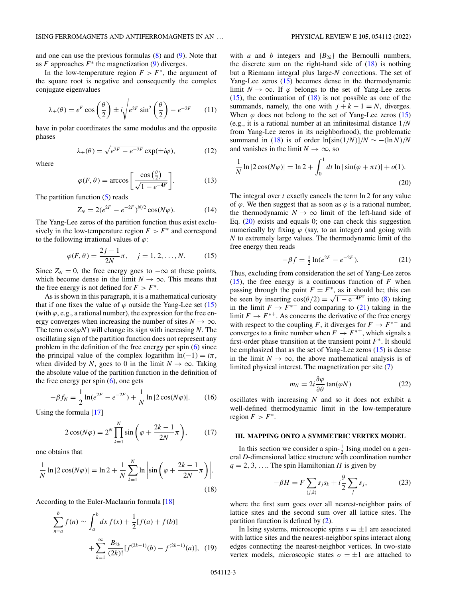<span id="page-2-0"></span>and one can use the previous formulas  $(8)$  and  $(9)$ . Note that as  $F$  approaches  $F^*$  the magnetization [\(9\)](#page-1-0) diverges.

In the low-temperature region  $F > F^*$ , the argument of the square root is negative and consequently the complex conjugate eigenvalues

$$
\lambda_{\pm}(\theta) = e^F \cos\left(\frac{\theta}{2}\right) \pm i\sqrt{e^{2F} \sin^2\left(\frac{\theta}{2}\right) - e^{-2F}} \qquad (11)
$$

have in polar coordinates the same modulus and the opposite phases

$$
\lambda_{\pm}(\theta) = \sqrt{e^{2F} - e^{-2F}} \exp(\pm i\varphi), \tag{12}
$$

where

$$
\varphi(F,\theta) = \arccos\left[\frac{\cos\left(\frac{\theta}{2}\right)}{\sqrt{1 - e^{-4F}}}\right].\tag{13}
$$

The partition function [\(5\)](#page-1-0) reads

$$
Z_N = 2(e^{2F} - e^{-2F})^{N/2} \cos(N\varphi). \tag{14}
$$

The Yang-Lee zeros of the partition function thus exist exclusively in the low-temperature region  $F > F^*$  and correspond to the following irrational values of  $\varphi$ :

$$
\varphi(F,\theta) = \frac{2j-1}{2N}\pi, \quad j = 1, 2, ..., N.
$$
 (15)

Since  $Z_N = 0$ , the free energy goes to  $-\infty$  at these points, which become dense in the limit  $N \to \infty$ . This means that the free energy is not defined for  $F > F^*$ .

As is shown in this paragraph, it is a mathematical curiosity that if one fixes the value of  $\varphi$  outside the Yang-Lee set (15) (with  $\varphi$ , e.g., a rational number), the expression for the free energy converges when increasing the number of sites  $N \to \infty$ . The term  $cos(\varphi N)$  will change its sign with increasing *N*. The oscillating sign of the partition function does not represent any problem in the definition of the free energy per spin [\(6\)](#page-1-0) since the principal value of the complex logarithm  $ln(-1) = i\pi$ , when divided by *N*, goes to 0 in the limit  $N \to \infty$ . Taking the absolute value of the partition function in the definition of the free energy per spin  $(6)$ , one gets

$$
-\beta f_N = \frac{1}{2} \ln(e^{2F} - e^{-2F}) + \frac{1}{N} \ln|2\cos(N\varphi)|. \qquad (16)
$$

Using the formula [\[17\]](#page-9-0)

$$
2\cos(N\varphi) = 2^N \prod_{k=1}^N \sin\left(\varphi + \frac{2k-1}{2N}\pi\right),\qquad(17)
$$

one obtains that

$$
\frac{1}{N} \ln|2\cos(N\varphi)| = \ln 2 + \frac{1}{N} \sum_{k=1}^{N} \ln \left| \sin\left(\varphi + \frac{2k-1}{2N}\pi\right) \right|.
$$
\n(18)

According to the Euler-Maclaurin formula [\[18\]](#page-9-0)

$$
\sum_{n=a}^{b} f(n) \sim \int_{a}^{b} dx f(x) + \frac{1}{2} [f(a) + f(b)]
$$
  
+ 
$$
\sum_{k=1}^{\infty} \frac{B_{2k}}{(2k)!} [f^{(2k-1)}(b) - f^{(2k-1)}(a)], \quad (19)
$$

with *a* and *b* integers and  ${B_{2k}}$  the Bernoulli numbers, the discrete sum on the right-hand side of  $(18)$  is nothing but a Riemann integral plus large-*N* corrections. The set of Yang-Lee zeros (15) becomes dense in the thermodynamic limit  $N \to \infty$ . If  $\varphi$  belongs to the set of Yang-Lee zeros  $(15)$ , the continuation of  $(18)$  is not possible as one of the summands, namely, the one with  $j + k - 1 = N$ , diverges. When  $\varphi$  does not belong to the set of Yang-Lee zeros (15) (e.g., it is a rational number at an infinitesimal distance 1/*N* from Yang-Lee zeros in its neighborhood), the problematic summand in (18) is of order  $\ln[\sin(1/N)]/N \sim -(\ln N)/N$ and vanishes in the limit  $N \to \infty$ , so

$$
\frac{1}{N}\ln|2\cos(N\varphi)| = \ln 2 + \int_0^1 dt \ln|\sin(\varphi + \pi t)| + o(1).
$$
\n(20)

The integral over *t* exactly cancels the term ln 2 for any value of  $\varphi$ . We then suggest that as soon as  $\varphi$  is a rational number, the thermodynamic  $N \to \infty$  limit of the left-hand side of Eq. (20) exists and equals 0; one can check this suggestion numerically by fixing  $\varphi$  (say, to an integer) and going with *N* to extremely large values. The thermodynamic limit of the free energy then reads

$$
-\beta f = \frac{1}{2} \ln(e^{2F} - e^{-2F}).
$$
 (21)

Thus, excluding from consideration the set of Yang-Lee zeros (15), the free energy is a continuous function of  $F$  when passing through the point  $F = F^*$ , as it should be; this can be seen by inserting  $\cos(\theta/2) = \sqrt{1 - e^{-4F^*}}$  into [\(8\)](#page-1-0) taking in the limit  $F \to F^{*-}$  and comparing to (21) taking in the limit  $F \to F^{*+}$ . As concerns the derivative of the free energy with respect to the coupling *F*, it diverges for  $F \to F^{*-}$  and converges to a finite number when  $F \to F^{*+}$ , which signals a first-order phase transition at the transient point *F*<sup>∗</sup>. It should be emphasized that as the set of Yang-Lee zeros (15) is dense in the limit  $N \to \infty$ , the above mathematical analysis is of limited physical interest. The magnetization per site [\(7\)](#page-1-0)

$$
m_N = 2i \frac{\partial \varphi}{\partial \theta} \tan(\varphi N) \tag{22}
$$

oscillates with increasing *N* and so it does not exhibit a well-defined thermodynamic limit in the low-temperature region  $F > F^*$ .

#### **III. MAPPING ONTO A SYMMETRIC VERTEX MODEL**

In this section we consider a spin- $\frac{1}{2}$  Ising model on a general *D*-dimensional lattice structure with coordination number  $q = 2, 3, \ldots$  The spin Hamiltonian *H* is given by

$$
-\beta H = F \sum_{\langle j,k \rangle} s_j s_k + i \frac{\theta}{2} \sum_j s_j, \tag{23}
$$

where the first sum goes over all nearest-neighbor pairs of lattice sites and the second sum over all lattice sites. The partition function is defined by [\(2\)](#page-1-0).

In Ising systems, microscopic spins  $s = \pm 1$  are associated with lattice sites and the nearest-neighbor spins interact along edges connecting the nearest-neighbor vertices. In two-state vertex models, microscopic states  $\sigma = \pm 1$  are attached to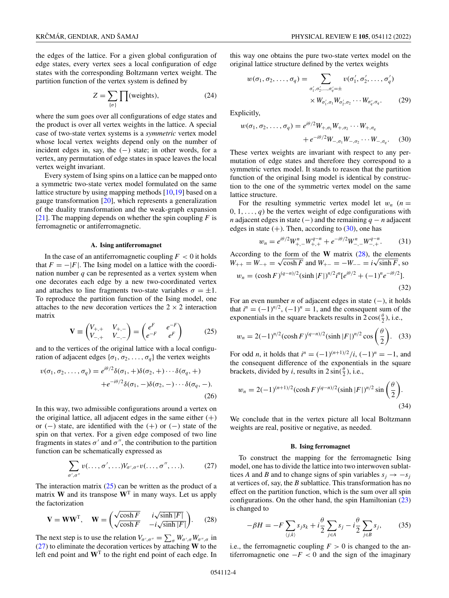<span id="page-3-0"></span>the edges of the lattice. For a given global configuration of edge states, every vertex sees a local configuration of edge states with the corresponding Boltzmann vertex weight. The partition function of the vertex system is defined by

$$
Z = \sum_{\{\sigma\}} \prod(\text{weights}),\tag{24}
$$

where the sum goes over all configurations of edge states and the product is over all vertex weights in the lattice. A special case of two-state vertex systems is a *symmetric* vertex model whose local vertex weights depend only on the number of incident edges in, say, the  $(-)$  state; in other words, for a vertex, any permutation of edge states in space leaves the local vertex weight invariant.

Every system of Ising spins on a lattice can be mapped onto a symmetric two-state vertex model formulated on the same lattice structure by using mapping methods [\[10,](#page-8-0)[19\]](#page-9-0) based on a gauge transformation [\[20\]](#page-9-0), which represents a generalization of the duality transformation and the weak-graph expansion [\[21\]](#page-9-0). The mapping depends on whether the spin coupling *F* is ferromagnetic or antiferromagnetic.

#### **A. Ising antiferromagnet**

In the case of an antiferromagnetic coupling  $F < 0$  it holds that  $F = -|F|$ . The Ising model on a lattice with the coordination number *q* can be represented as a vertex system when one decorates each edge by a new two-coordinated vertex and attaches to line fragments two-state variables  $\sigma = \pm 1$ . To reproduce the partition function of the Ising model, one attaches to the new decoration vertices the  $2 \times 2$  interaction matrix

$$
\mathbf{V} \equiv \begin{pmatrix} V_{+,+} & V_{+,-} \\ V_{-,+} & V_{-,-} \end{pmatrix} = \begin{pmatrix} e^F & e^{-F} \\ e^{-F} & e^F \end{pmatrix} \tag{25}
$$

and to the vertices of the original lattice with a local configuration of adjacent edges  $\{\sigma_1, \sigma_2, \ldots, \sigma_q\}$  the vertex weights

$$
v(\sigma_1, \sigma_2, \dots, \sigma_q) = e^{i\theta/2} \delta(\sigma_1, +) \delta(\sigma_2, +) \cdots \delta(\sigma_q, +)
$$

$$
+ e^{-i\theta/2} \delta(\sigma_1, -) \delta(\sigma_2, -) \cdots \delta(\sigma_q, -).
$$
(26)

In this way, two admissible configurations around a vertex on the original lattice, all adjacent edges in the same either  $(+)$ or (–) state, are identified with the  $(+)$  or (–) state of the spin on that vertex. For a given edge composed of two line fragments in states  $\sigma'$  and  $\sigma''$ , the contribution to the partition function can be schematically expressed as

$$
\sum_{\sigma',\sigma''} v(\ldots,\sigma',\ldots)V_{\sigma',\sigma''}v(\ldots,\sigma'',\ldots).
$$
 (27)

The interaction matrix  $(25)$  can be written as the product of a matrix **W** and its transpose  $W<sup>T</sup>$  in many ways. Let us apply the factorization

$$
\mathbf{V} = \mathbf{W}\mathbf{W}^{\mathrm{T}}, \quad \mathbf{W} = \begin{pmatrix} \sqrt{\cosh F} & i\sqrt{\sinh |F|} \\ \sqrt{\cosh F} & -i\sqrt{\sinh |F|} \end{pmatrix}.
$$
 (28)

The next step is to use the relation  $V_{\sigma',\sigma''} = \sum_{\sigma} W_{\sigma',\sigma} W_{\sigma'',\sigma}$  in (27) to eliminate the decoration vertices by attaching **W** to the left end point and **W**<sup>T</sup> to the right end point of each edge. In this way one obtains the pure two-state vertex model on the original lattice structure defined by the vertex weights

$$
w(\sigma_1, \sigma_2, \dots, \sigma_q) = \sum_{\sigma'_1, \sigma'_2, \dots, \sigma'_q = \pm} v(\sigma'_1, \sigma'_2, \dots, \sigma'_q)
$$
  
 
$$
\times W_{\sigma'_1, \sigma_1} W_{\sigma'_2, \sigma_2} \cdots W_{\sigma'_q, \sigma_q}.
$$
 (29)

Explicitly,

$$
w(\sigma_1, \sigma_2, \dots, \sigma_q) = e^{i\theta/2} W_{+, \sigma_1} W_{+, \sigma_2} \cdots W_{+, \sigma_q}
$$
  
+  $e^{-i\theta/2} W_{-, \sigma_1} W_{-, \sigma_2} \cdots W_{-, \sigma_q}.$  (30)

These vertex weights are invariant with respect to any permutation of edge states and therefore they correspond to a symmetric vertex model. It stands to reason that the partition function of the original Ising model is identical by construction to the one of the symmetric vertex model on the same lattice structure.

For the resulting symmetric vertex model let  $w_n$  ( $n =$  $0, 1, \ldots, q$  be the vertex weight of edge configurations with *n* adjacent edges in state (–) and the remaining  $q - n$  adjacent edges in state  $(+)$ . Then, according to  $(30)$ , one has

$$
w_n = e^{i\theta/2} W_{+, -}^n W_{+, +}^{q-n} + e^{-i\theta/2} W_{-, -}^n W_{-, +}^{q-n}.
$$
 (31)

According to the form of the  $W$  matrix  $(28)$ , the elements According to the form of the **W** matrix (28), the element  $W_{++} = W_{-+} = \sqrt{\cosh F}$  and  $W_{+-} = -W_{--} = i\sqrt{\sinh F}$ , so

$$
w_n = (\cosh F)^{(q-n)/2} (\sinh |F|)^{n/2} i^n [e^{i\theta/2} + (-1)^n e^{-i\theta/2}].
$$
\n(32)

For an even number *n* of adjacent edges in state (−), it holds that  $i^n = (-1)^{n/2}$ ,  $(-1)^n = 1$ , and the consequent sum of the exponentials in the square brackets results in  $2\cos(\frac{\theta}{2})$ , i.e.,

$$
w_n = 2(-1)^{n/2} (\cosh F)^{(q-n)/2} (\sinh |F|)^{n/2} \cos \left(\frac{\theta}{2}\right).
$$
 (33)

For odd *n*, it holds that  $i^n = (-1)^{(n+1)/2}/i$ ,  $(-1)^n = -1$ , and the consequent difference of the exponentials in the square brackets, divided by *i*, results in  $2 \sin(\frac{\theta}{2})$ , i.e.,

$$
w_n = 2(-1)^{(n+1)/2} (\cosh F)^{(q-n)/2} (\sinh |F|)^{n/2} \sin \left(\frac{\theta}{2}\right).
$$
\n(34)

We conclude that in the vertex picture all local Boltzmann weights are real, positive or negative, as needed.

#### **B. Ising ferromagnet**

To construct the mapping for the ferromagnetic Ising model, one has to divide the lattice into two interwoven sublattices *A* and *B* and to change signs of spin variables  $s_i \rightarrow -s_j$ at vertices of, say, the *B* sublattice. This transformation has no effect on the partition function, which is the sum over all spin configurations. On the other hand, the spin Hamiltonian [\(23\)](#page-2-0) is changed to

$$
-\beta H = -F \sum_{\langle j,k \rangle} s_j s_k + i \frac{\theta}{2} \sum_{j \in A} s_j - i \frac{\theta}{2} \sum_{j \in B} s_j, \qquad (35)
$$

i.e., the ferromagnetic coupling  $F > 0$  is changed to the antiferromagnetic one  $-F < 0$  and the sign of the imaginary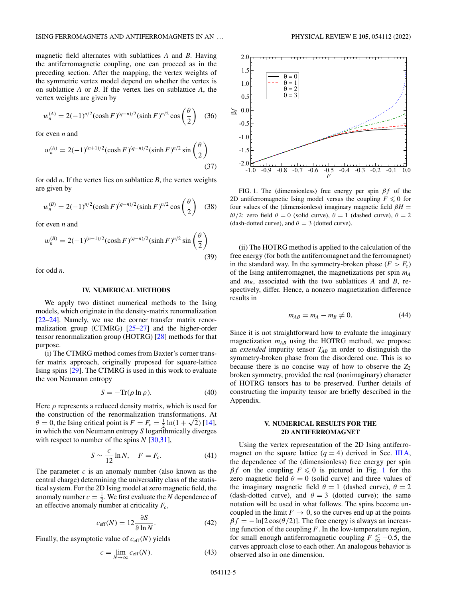<span id="page-4-0"></span>magnetic field alternates with sublattices *A* and *B*. Having the antiferromagnetic coupling, one can proceed as in the preceding section. After the mapping, the vertex weights of the symmetric vertex model depend on whether the vertex is on sublattice *A* or *B*. If the vertex lies on sublattice *A*, the vertex weights are given by

$$
w_n^{(A)} = 2(-1)^{n/2} (\cosh F)^{(q-n)/2} (\sinh F)^{n/2} \cos \left(\frac{\theta}{2}\right)
$$
 (36)

for even *n* and

$$
w_n^{(A)} = 2(-1)^{(n+1)/2} (\cosh F)^{(q-n)/2} (\sinh F)^{n/2} \sin \left(\frac{\theta}{2}\right)
$$
\n(37)

for odd *n*. If the vertex lies on sublattice *B*, the vertex weights are given by

$$
w_n^{(B)} = 2(-1)^{n/2} (\cosh F)^{(q-n)/2} (\sinh F)^{n/2} \cos \left(\frac{\theta}{2}\right)
$$
 (38)

for even *n* and

$$
w_n^{(B)} = 2(-1)^{(n-1)/2} (\cosh F)^{(q-n)/2} (\sinh F)^{n/2} \sin \left(\frac{\theta}{2}\right)
$$
\n(39)

for odd *n*.

#### **IV. NUMERICAL METHODS**

We apply two distinct numerical methods to the Ising models, which originate in the density-matrix renormalization [\[22–24\]](#page-9-0). Namely, we use the corner transfer matrix renormalization group (CTMRG) [\[25–27\]](#page-9-0) and the higher-order tensor renormalization group (HOTRG) [\[28\]](#page-9-0) methods for that purpose.

(i) The CTMRG method comes from Baxter's corner transfer matrix approach, originally proposed for square-lattice Ising spins [\[29\]](#page-9-0). The CTMRG is used in this work to evaluate the von Neumann entropy

$$
S = -\text{Tr}(\rho \ln \rho). \tag{40}
$$

Here  $\rho$  represents a reduced density matrix, which is used for the construction of the renormalization transformations. At the construction of the renormalization transformations. At  $\theta = 0$ , the Ising critical point is  $F = F_c = \frac{1}{2} \ln(1 + \sqrt{2})$  [\[14\]](#page-9-0), in which the von Neumann entropy *S* logarithmically diverges with respect to number of the spins *N* [\[30,31\]](#page-9-0),

$$
S \sim \frac{c}{12} \ln N, \quad F = F_c. \tag{41}
$$

The parameter *c* is an anomaly number (also known as the central charge) determining the universality class of the statistical system. For the 2D Ising model at zero magnetic field, the anomaly number  $c = \frac{1}{2}$ . We first evaluate the *N* dependence of an effective anomaly number at criticality  $F_c$ ,

$$
c_{\text{eff}}(N) = 12 \frac{\partial S}{\partial \ln N}.
$$
 (42)

Finally, the asymptotic value of  $c_{\text{eff}}(N)$  yields

$$
c = \lim_{N \to \infty} c_{\text{eff}}(N). \tag{43}
$$



FIG. 1. The (dimensionless) free energy per spin  $\beta f$  of the 2D antiferromagnetic Ising model versus the coupling  $F \leq 0$  for four values of the (dimensionless) imaginary magnetic field  $\beta H =$ *i*θ/2: zero field  $\theta = 0$  (solid curve),  $\theta = 1$  (dashed curve),  $\theta = 2$ (dash-dotted curve), and  $\theta = 3$  (dotted curve).

(ii) The HOTRG method is applied to the calculation of the free energy (for both the antiferromagnet and the ferromagnet) in the standard way. In the symmetry-broken phase  $(F > F_c)$ of the Ising antiferromagnet, the magnetizations per spin  $m_A$ and  $m_B$ , associated with the two sublattices *A* and *B*, respectively, differ. Hence, a nonzero magnetization difference results in

$$
m_{AB} = m_A - m_B \neq 0. \tag{44}
$$

Since it is not straightforward how to evaluate the imaginary magnetization  $m_{AB}$  using the HOTRG method, we propose an *extended* impurity tensor  $T_{AB}$  in order to distinguish the symmetry-broken phase from the disordered one. This is so because there is no concise way of how to observe the  $Z_2$ broken symmetry, provided the real (nonimaginary) character of HOTRG tensors has to be preserved. Further details of constructing the impurity tensor are briefly described in the Appendix.

# **V. NUMERICAL RESULTS FOR THE 2D ANTIFERROMAGNET**

Using the vertex representation of the 2D Ising antiferromagnet on the square lattice  $(q = 4)$  derived in Sec. [III A,](#page-3-0) the dependence of the (dimensionless) free energy per spin  $\beta f$  on the coupling  $F \leq 0$  is pictured in Fig. 1 for the zero magnetic field  $\theta = 0$  (solid curve) and three values of the imaginary magnetic field  $\theta = 1$  (dashed curve),  $\theta = 2$ (dash-dotted curve), and  $\theta = 3$  (dotted curve); the same notation will be used in what follows. The spins become uncoupled in the limit  $F \to 0$ , so the curves end up at the points  $\beta f = -\ln[2\cos(\theta/2)]$ . The free energy is always an increasing function of the coupling *F*. In the low-temperature region, for small enough antiferromagnetic coupling  $F \lesssim -0.5$ , the curves approach close to each other. An analogous behavior is observed also in one dimension.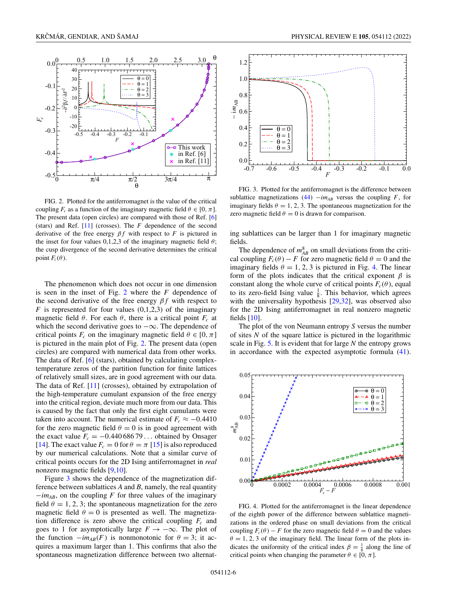<span id="page-5-0"></span>

FIG. 2. Plotted for the antiferromagnet is the value of the critical coupling  $F_c$  as a function of the imaginary magnetic field  $\theta \in [0, \pi]$ . The present data (open circles) are compared with those of Ref. [\[6\]](#page-8-0) (stars) and Ref. [\[11\]](#page-8-0) (crosses). The *F* dependence of the second derivative of the free energy  $\beta f$  with respect to *F* is pictured in the inset for four values 0,1,2,3 of the imaginary magnetic field  $\theta$ ; the cusp divergence of the second derivative determines the critical point  $F_c(\theta)$ .

The phenomenon which does not occur in one dimension is seen in the inset of Fig. 2 where the *F* dependence of the second derivative of the free energy  $\beta f$  with respect to  $F$  is represented for four values  $(0,1,2,3)$  of the imaginary magnetic field  $\theta$ . For each  $\theta$ , there is a critical point  $F_c$  at which the second derivative goes to  $-\infty$ . The dependence of critical points  $F_c$  on the imaginary magnetic field  $\theta \in [0, \pi]$ is pictured in the main plot of Fig. 2. The present data (open circles) are compared with numerical data from other works. The data of Ref. [\[6\]](#page-8-0) (stars), obtained by calculating complextemperature zeros of the partition function for finite lattices of relatively small sizes, are in good agreement with our data. The data of Ref. [\[11\]](#page-8-0) (crosses), obtained by extrapolation of the high-temperature cumulant expansion of the free energy into the critical region, deviate much more from our data. This is caused by the fact that only the first eight cumulants were taken into account. The numerical estimate of  $F_c \approx -0.4410$ for the zero magnetic field  $\theta = 0$  is in good agreement with the exact value  $F_c = -0.44068679...$  obtained by Onsager [\[14\]](#page-9-0). The exact value  $F_c = 0$  for  $\theta = \pi$  [\[15\]](#page-9-0) is also reproduced by our numerical calculations. Note that a similar curve of critical points occurs for the 2D Ising antiferromagnet in *real* nonzero magnetic fields [\[9,10\]](#page-8-0).

Figure 3 shows the dependence of the magnetization difference between sublattices *A* and *B*, namely, the real quantity −*imAB*, on the coupling *F* for three values of the imaginary field  $\theta = 1, 2, 3$ ; the spontaneous magnetization for the zero magnetic field  $\theta = 0$  is presented as well. The magnetization difference is zero above the critical coupling  $F_c$  and goes to 1 for asymptotically large  $F \to -\infty$ . The plot of the function  $-im_{AB}(F)$  is nonmonotonic for  $\theta = 3$ ; it acquires a maximum larger than 1. This confirms that also the spontaneous magnetization difference between two alternat-



FIG. 3. Plotted for the antiferromagnet is the difference between sublattice magnetizations [\(44\)](#page-4-0)  $-i m_{AB}$  versus the coupling *F*, for imaginary fields  $\theta = 1, 2, 3$ . The spontaneous magnetization for the zero magnetic field  $\theta = 0$  is drawn for comparison.

ing sublattices can be larger than 1 for imaginary magnetic fields.

The dependence of  $m_{AB}^8$  on small deviations from the critical coupling  $F_c(\theta) - F$  for zero magnetic field  $\theta = 0$  and the imaginary fields  $\theta = 1, 2, 3$  is pictured in Fig. 4. The linear form of the plots indicates that the critical exponent  $\beta$  is constant along the whole curve of critical points  $F_c(\theta)$ , equal to its zero-field Ising value  $\frac{1}{8}$ . This behavior, which agrees with the universality hypothesis [\[29,32\]](#page-9-0), was observed also for the 2D Ising antiferromagnet in real nonzero magnetic fields  $[10]$ .

The plot of the von Neumann entropy *S* versus the number of sites *N* of the square lattice is pictured in the logarithmic scale in Fig. [5.](#page-6-0) It is evident that for large *N* the entropy grows in accordance with the expected asymptotic formula [\(41\)](#page-4-0).



FIG. 4. Plotted for the antiferromagnet is the linear dependence of the eighth power of the difference between sublattice magnetizations in the ordered phase on small deviations from the critical coupling  $F_c(\theta) - F$  for the zero magnetic field  $\theta = 0$  and the values  $\theta = 1, 2, 3$  of the imaginary field. The linear form of the plots indicates the uniformity of the critical index  $\beta = \frac{1}{8}$  along the line of critical points when changing the parameter  $\theta \in [0, \pi]$ .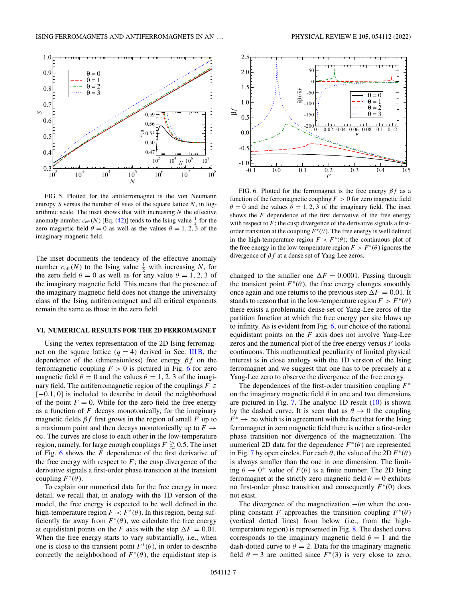<span id="page-6-0"></span>

FIG. 5. Plotted for the antiferromagnet is the von Neumann entropy *S* versus the number of sites of the square lattice *N*, in logarithmic scale. The inset shows that with increasing *N* the effective anomaly number  $c_{\text{eff}}(N)$  [Eq. [\(42\)](#page-4-0)] tends to the Ising value  $\frac{1}{2}$  for the zero magnetic field  $\theta = 0$  as well as the values  $\theta = 1, 2, 3$  of the imaginary magnetic field.

The inset documents the tendency of the effective anomaly number  $c_{\text{eff}}(N)$  to the Ising value  $\frac{1}{2}$  with increasing *N*, for the zero field  $\theta = 0$  as well as for any value  $\theta = 1, 2, 3$  of the imaginary magnetic field. This means that the presence of the imaginary magnetic field does not change the universality class of the Ising antiferromagnet and all critical exponents remain the same as those in the zero field.

#### **VI. NUMERICAL RESULTS FOR THE 2D FERROMAGNET**

Using the vertex representation of the 2D Ising ferromagnet on the square lattice  $(q = 4)$  derived in Sec. [III B,](#page-3-0) the dependence of the (dimensionless) free energy  $\beta f$  on the ferromagnetic coupling  $F > 0$  is pictured in Fig. 6 for zero magnetic field  $\theta = 0$  and the values  $\theta = 1, 2, 3$  of the imaginary field. The antiferromagnetic region of the couplings  $F \in$ [−0.1, 0] is included to describe in detail the neighborhood of the point  $F = 0$ . While for the zero field the free energy as a function of *F* decays monotonically, for the imaginary magnetic fields  $\beta f$  first grows in the region of small *F* up to a maximum point and then decays monotonically up to  $F \rightarrow$ ∞. The curves are close to each other in the low-temperature region, namely, for large enough couplings  $F \gtrsim 0.5$ . The inset of Fig. 6 shows the *F* dependence of the first derivative of the free energy with respect to  $F$ ; the cusp divergence of the derivative signals a first-order phase transition at the transient coupling  $F^*(\theta)$ .

To explain our numerical data for the free energy in more detail, we recall that, in analogy with the 1D version of the model, the free energy is expected to be well defined in the high-temperature region  $F < F^*(\theta)$ . In this region, being sufficiently far away from  $F^*(\theta)$ , we calculate the free energy at equidistant points on the *F* axis with the step  $\Delta F = 0.01$ . When the free energy starts to vary substantially, i.e., when one is close to the transient point  $F^*(\theta)$ , in order to describe correctly the neighborhood of  $F^*(\theta)$ , the equidistant step is





FIG. 6. Plotted for the ferromagnet is the free energy  $\beta f$  as a function of the ferromagnetic coupling  $F > 0$  for zero magnetic field  $\theta = 0$  and the values  $\theta = 1, 2, 3$  of the imaginary field. The inset shows the  $F$  dependence of the first derivative of the free energy with respect to  $F$ ; the cusp divergence of the derivative signals a firstorder transition at the coupling  $F^*(\theta)$ . The free energy is well defined in the high-temperature region  $F < F^*(\theta)$ ; the continuous plot of the free energy in the low-temperature region  $F > F^*(\theta)$  ignores the divergence of  $\beta f$  at a dense set of Yang-Lee zeros.

changed to the smaller one  $\Delta F = 0.0001$ . Passing through the transient point  $F^*(\theta)$ , the free energy changes smoothly once again and one returns to the previous step  $\Delta F = 0.01$ . It stands to reason that in the low-temperature region  $F > F^*(\theta)$ there exists a problematic dense set of Yang-Lee zeros of the partition function at which the free energy per site blows up to infinity. As is evident from Fig. 6, our choice of the rational equidistant points on the *F* axis does not involve Yang-Lee zeros and the numerical plot of the free energy versus *F* looks continuous. This mathematical peculiarity of limited physical interest is in close analogy with the 1D version of the Ising ferromagnet and we suggest that one has to be precisely at a Yang-Lee zero to observe the divergence of the free energy.

The dependences of the first-order transition coupling *F*<sup>∗</sup> on the imaginary magnetic field  $\theta$  in one and two dimensions are pictured in Fig. [7.](#page-7-0) The analytic  $1D$  result  $(10)$  is shown by the dashed curve. It is seen that as  $\theta \rightarrow 0$  the coupling  $F^* \to \infty$  which is in agreement with the fact that for the Ising ferromagnet in zero magnetic field there is neither a first-order phase transition nor divergence of the magnetization. The numerical 2D data for the dependence  $F^*(\theta)$  are represented in Fig. [7](#page-7-0) by open circles. For each  $\theta$ , the value of the 2D  $F^*(\theta)$ is always smaller than the one in one dimension. The limiting  $\theta \rightarrow 0^+$  value of  $F(\theta)$  is a finite number. The 2D Ising ferromagnet at the strictly zero magnetic field  $\theta = 0$  exhibits no first-order phase transition and consequently *F*<sup>∗</sup>(0) does not exist.

The divergence of the magnetization −*im* when the coupling constant *F* approaches the transition coupling  $F^*(\theta)$ (vertical dotted lines) from below (i.e., from the hightemperature region) is represented in Fig. [8.](#page-7-0) The dashed curve corresponds to the imaginary magnetic field  $\theta = 1$  and the dash-dotted curve to  $\theta = 2$ . Data for the imaginary magnetic field  $\theta = 3$  are omitted since  $F^*(3)$  is very close to zero,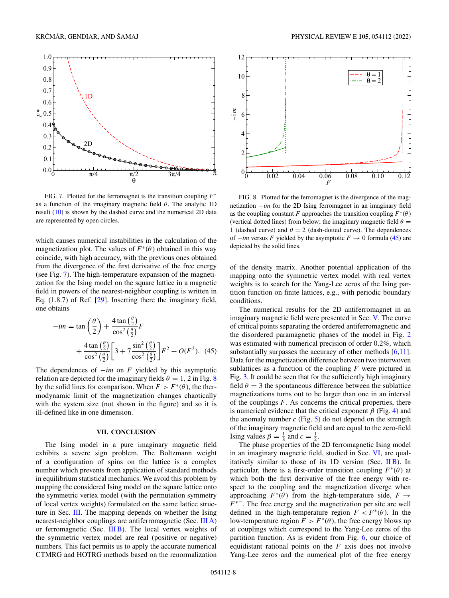<span id="page-7-0"></span>

FIG. 7. Plotted for the ferromagnet is the transition coupling *F*<sup>∗</sup> as a function of the imaginary magnetic field  $\theta$ . The analytic 1D result [\(10\)](#page-1-0) is shown by the dashed curve and the numerical 2D data are represented by open circles.

which causes numerical instabilities in the calculation of the magnetization plot. The values of  $F^*(\theta)$  obtained in this way coincide, with high accuracy, with the previous ones obtained from the divergence of the first derivative of the free energy (see Fig. 7). The high-temperature expansion of the magnetization for the Ising model on the square lattice in a magnetic field in powers of the nearest-neighbor coupling is written in Eq. (1.8.7) of Ref. [\[29\]](#page-9-0). Inserting there the imaginary field, one obtains

$$
-im = \tan\left(\frac{\theta}{2}\right) + \frac{4\tan\left(\frac{\theta}{2}\right)}{\cos^2\left(\frac{\theta}{2}\right)}F
$$
  
+ 
$$
\frac{4\tan\left(\frac{\theta}{2}\right)}{\cos^2\left(\frac{\theta}{2}\right)} \left[3 + 7\frac{\sin^2\left(\frac{\theta}{2}\right)}{\cos^2\left(\frac{\theta}{2}\right)}\right]F^2 + O(F^3). \tag{45}
$$

The dependences of −*im* on *F* yielded by this asymptotic relation are depicted for the imaginary fields  $\theta = 1$ , 2 in Fig. 8 by the solid lines for comparison. When  $F > F^*(\theta)$ , the thermodynamic limit of the magnetization changes chaotically with the system size (not shown in the figure) and so it is ill-defined like in one dimension.

### **VII. CONCLUSION**

The Ising model in a pure imaginary magnetic field exhibits a severe sign problem. The Boltzmann weight of a configuration of spins on the lattice is a complex number which prevents from application of standard methods in equilibrium statistical mechanics. We avoid this problem by mapping the considered Ising model on the square lattice onto the symmetric vertex model (with the permutation symmetry of local vertex weights) formulated on the same lattice structure in Sec. [III.](#page-2-0) The mapping depends on whether the Ising nearest-neighbor couplings are antiferromagnetic (Sec. [III A\)](#page-3-0) or ferromagnetic (Sec. [III B\)](#page-3-0). The local vertex weights of the symmetric vertex model are real (positive or negative) numbers. This fact permits us to apply the accurate numerical CTMRG and HOTRG methods based on the renormalization



FIG. 8. Plotted for the ferromagnet is the divergence of the magnetization −*im* for the 2D Ising ferromagnet in an imaginary field as the coupling constant *F* approaches the transition coupling  $F^*(\theta)$ (vertical dotted lines) from below; the imaginary magnetic field  $\theta =$ 1 (dashed curve) and  $\theta = 2$  (dash-dotted curve). The dependences of  $-im$  versus *F* yielded by the asymptotic  $F \to 0$  formula (45) are depicted by the solid lines.

of the density matrix. Another potential application of the mapping onto the symmetric vertex model with real vertex weights is to search for the Yang-Lee zeros of the Ising partition function on finite lattices, e.g., with periodic boundary conditions.

The numerical results for the 2D antiferromagnet in an imaginary magnetic field were presented in Sec. [V.](#page-4-0) The curve of critical points separating the ordered antiferromagnetic and the disordered paramagnetic phases of the model in Fig. [2](#page-5-0) was estimated with numerical precision of order 0.2%, which substantially surpasses the accuracy of other methods [\[6,11\]](#page-8-0). Data for the magnetization difference between two interwoven sublattices as a function of the coupling *F* were pictured in Fig. [3.](#page-5-0) It could be seen that for the sufficiently high imaginary field  $\theta = 3$  the spontaneous difference between the sublattice magnetizations turns out to be larger than one in an interval of the couplings *F*. As concerns the critical properties, there is numerical evidence that the critical exponent  $\beta$  (Fig. [4\)](#page-5-0) and the anomaly number  $c$  (Fig. [5\)](#page-6-0) do not depend on the strength of the imaginary magnetic field and are equal to the zero-field Ising values  $\beta = \frac{1}{8}$  and  $c = \frac{1}{2}$ .

The phase properties of the 2D ferromagnetic Ising model in an imaginary magnetic field, studied in Sec. [VI,](#page-6-0) are qualitatively similar to those of its  $1D$  version (Sec.  $\overline{I}$  IB). In particular, there is a first-order transition coupling  $F^*(\theta)$  at which both the first derivative of the free energy with respect to the coupling and the magnetization diverge when approaching  $F^*(\theta)$  from the high-temperature side,  $F \rightarrow$ *F*<sup>∗−</sup>. The free energy and the magnetization per site are well defined in the high-temperature region  $F < F^*(\theta)$ . In the low-temperature region  $F > F^*(\theta)$ , the free energy blows up at couplings which correspond to the Yang-Lee zeros of the partition function. As is evident from Fig. [6,](#page-6-0) our choice of equidistant rational points on the *F* axis does not involve Yang-Lee zeros and the numerical plot of the free energy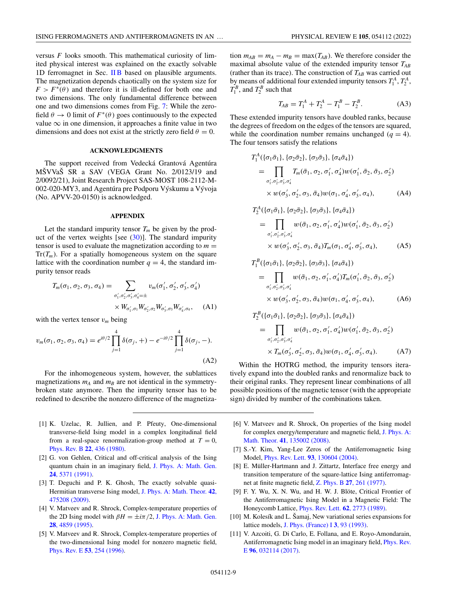<span id="page-8-0"></span>versus *F* looks smooth. This mathematical curiosity of limited physical interest was explained on the exactly solvable 1D ferromagnet in Sec. [II B](#page-1-0) based on plausible arguments. The magnetization depends chaotically on the system size for  $F > F^*(\theta)$  and therefore it is ill-defined for both one and two dimensions. The only fundamental difference between one and two dimensions comes from Fig. [7:](#page-7-0) While the zerofield  $\theta \to 0$  limit of  $F^*(\theta)$  goes continuously to the expected value  $\infty$  in one dimension, it approaches a finite value in two dimensions and does not exist at the strictly zero field  $\theta = 0$ .

## **ACKNOWLEDGMENTS**

The support received from Vedecká Grantová Agentúra MŠVVaŠ SR a SAV (VEGA Grant No. 2/0123/19 and 2/0092/21), Joint Research Project SAS-MOST 108-2112-M-002-020-MY3, and Agentúra pre Podporu Výskumu a Vývoja (No. APVV-20-0150) is acknowledged.

### **APPENDIX**

Let the standard impurity tensor  $T_m$  be given by the product of the vertex weights [see  $(30)$ ]. The standard impurity tensor is used to evaluate the magnetization according to  $m =$  $Tr(T_m)$ . For a spatially homogeneous system on the square lattice with the coordination number  $q = 4$ , the standard impurity tensor reads

$$
T_m(\sigma_1, \sigma_2, \sigma_3, \sigma_4) = \sum_{\sigma'_1, \sigma'_2, \sigma'_3, \sigma'_4 = \pm} v_m(\sigma'_1, \sigma'_2, \sigma'_3, \sigma'_4)
$$
  
 
$$
\times W_{\sigma'_1, \sigma_1} W_{\sigma'_2, \sigma_2} W_{\sigma'_3, \sigma_3} W_{\sigma'_4, \sigma_4}, \quad (A1)
$$

with the vertex tensor  $v_m$  being

$$
v_m(\sigma_1, \sigma_2, \sigma_3, \sigma_4) = e^{i\theta/2} \prod_{j=1}^4 \delta(\sigma_j, +) - e^{-i\theta/2} \prod_{j=1}^4 \delta(\sigma_j, -).
$$
\n(A2)

For the inhomogeneous system, however, the sublattices magnetizations  $m_A$  and  $m_B$  are not identical in the symmetrybroken state anymore. Then the impurity tensor has to be redefined to describe the nonzero difference of the magnetiza-

- [1] K. Uzelac, R. Jullien, and P. Pfeuty, One-dimensional transverse-field Ising model in a complex longitudinal field from a real-space renormalization-group method at  $T = 0$ , [Phys. Rev. B](https://doi.org/10.1103/PhysRevB.22.436) **22**, 436 (1980).
- [2] G. von Gehlen, Critical and off-critical analysis of the Ising [quantum chain in an imaginary field,](https://doi.org/10.1088/0305-4470/24/22/021) J. Phys. A: Math. Gen. **24**, 5371 (1991).
- [3] T. Deguchi and P. K. Ghosh, The exactly solvable quasi-[Hermitian transverse Ising model,](https://doi.org/10.1088/1751-8113/42/47/475208) J. Phys. A: Math. Theor. **42**, 475208 (2009).
- [4] V. Matveev and R. Shrock, Complex-temperature properties of [the 2D Ising model with](https://doi.org/10.1088/0305-4470/28/17/018)  $\beta H = \pm i\pi/2$ , J. Phys. A: Math. Gen. **28**, 4859 (1995).
- [5] V. Matveev and R. Shrock, Complex-temperature properties of the two-dimensional Ising model for nonzero magnetic field, [Phys. Rev. E](https://doi.org/10.1103/PhysRevE.53.254) **53**, 254 (1996).

tion  $m_{AB} = m_A - m_B = \max(T_{AB})$ . We therefore consider the maximal absolute value of the extended impurity tensor *TAB* (rather than its trace). The construction of  $T_{AB}$  was carried out by means of additional four extended impurity tensors  $T_1^A$ ,  $T_2^A$ ,  $T_1^B$ , and  $T_2^B$  such that

$$
T_{AB} = T_1^A + T_2^A - T_1^B - T_2^B. \tag{A3}
$$

These extended impurity tensors have doubled ranks, because the degrees of freedom on the edges of the tensors are squared, while the coordination number remains unchanged  $(q = 4)$ . The four tensors satisfy the relations

$$
T_1^A(\{\sigma_1\bar{\sigma}_1\}, \{\sigma_2\bar{\sigma}_2\}, \{\sigma_3\bar{\sigma}_3\}, \{\sigma_4\bar{\sigma}_4\})
$$
  
= 
$$
\prod_{\sigma'_1, \sigma'_2, \sigma'_3, \sigma'_4} T_m(\bar{\sigma}_1, \sigma_2, \sigma'_1, \sigma'_4) w(\sigma'_1, \bar{\sigma}_2, \bar{\sigma}_3, \sigma'_2)
$$
  

$$
\times w(\sigma'_3, \sigma'_2, \sigma_3, \bar{\sigma}_4) w(\sigma_1, \sigma'_4, \sigma'_3, \sigma_4),
$$
 (A4)

$$
T_2^A(\{\sigma_1\bar{\sigma}_1\}, \{\sigma_2\bar{\sigma}_2\}, \{\sigma_3\bar{\sigma}_3\}, \{\sigma_4\bar{\sigma}_4\})
$$
  
= 
$$
\prod_{\sigma'_1, \sigma'_2, \sigma'_3, \sigma'_4} w(\bar{\sigma}_1, \sigma_2, \sigma'_1, \sigma'_4) w(\sigma'_1, \bar{\sigma}_2, \bar{\sigma}_3, \sigma'_2)
$$
  

$$
\times w(\sigma'_3, \sigma'_2, \sigma_3, \bar{\sigma}_4) T_m(\sigma_1, \sigma'_4, \sigma'_3, \sigma_4),
$$
 (A5)

$$
T_1^B(\{\sigma_1\bar{\sigma}_1\}, \{\sigma_2\bar{\sigma}_2\}, \{\sigma_3\bar{\sigma}_3\}, \{\sigma_4\bar{\sigma}_4\})
$$
  
= 
$$
\prod_{\sigma_1', \sigma_2', \sigma_3', \sigma_4'} w(\bar{\sigma}_1, \sigma_2, \sigma_1', \sigma_4') T_m(\sigma_1', \bar{\sigma}_2, \bar{\sigma}_3, \sigma_2')
$$
  

$$
\times w(\sigma_3', \sigma_2', \sigma_3, \bar{\sigma}_4) w(\sigma_1, \sigma_4', \sigma_3', \sigma_4),
$$
 (A6)  

$$
T_2^B(\{\sigma_1\bar{\sigma}_1\}, \{\sigma_2\bar{\sigma}_2\}, \{\sigma_3\bar{\sigma}_3\}, \{\sigma_4\bar{\sigma}_4\})
$$

$$
= \prod_{\sigma'_1, \sigma'_2, \sigma'_3, \sigma'_4} w(\bar{\sigma}_1, \sigma_2, \sigma'_1, \sigma'_4) w(\sigma'_1, \bar{\sigma}_2, \bar{\sigma}_3, \sigma'_2)
$$
  
 
$$
\times T_m(\sigma'_3, \sigma'_2, \sigma_3, \bar{\sigma}_4) w(\sigma_1, \sigma'_4, \sigma'_3, \sigma_4).
$$
 (A7)

Within the HOTRG method, the impurity tensors iteratively expand into the doubled ranks and renormalize back to their original ranks. They represent linear combinations of all possible positions of the magnetic tensor (with the appropriate sign) divided by number of the combinations taken.

- [6] V. Matveev and R. Shrock, On properties of the Ising model [for complex energy/temperature and magnetic field,](https://doi.org/10.1088/1751-8113/41/13/135002) J. Phys. A: Math. Theor. **41**, 135002 (2008).
- [7] S.-Y. Kim, Yang-Lee Zeros of the Antiferromagnetic Ising Model, Phys. Rev. Lett. **93**[, 130604 \(2004\).](https://doi.org/10.1103/PhysRevLett.93.130604)
- [8] E. Müller-Hartmann and J. Zittartz, Interface free energy and transition temperature of the square-lattice Ising antiferromagnet at finite magnetic field, Z. Phys. B **27**[, 261 \(1977\).](https://doi.org/10.1007/BF01325537)
- [9] F. Y. Wu, X. N. Wu, and H. W. J. Blöte, Critical Frontier of the Antiferromagnetic Ising Model in a Magnetic Field: The Honeycomb Lattice, [Phys. Rev. Lett.](https://doi.org/10.1103/PhysRevLett.62.2773) **62**, 2773 (1989).
- [10] M. Kolesík and L. Šamaj, New variational series expansions for lattice models, [J. Phys. \(France\) I](https://doi.org/10.1051/jp1:1993119) **3**, 93 (1993).
- [11] V. Azcoiti, G. Di Carlo, E. Follana, and E. Royo-Amondarain, [Antiferromagnetic Ising model in an imaginary field,](https://doi.org/10.1103/PhysRevE.96.032114) Phys. Rev. E **96**, 032114 (2017).